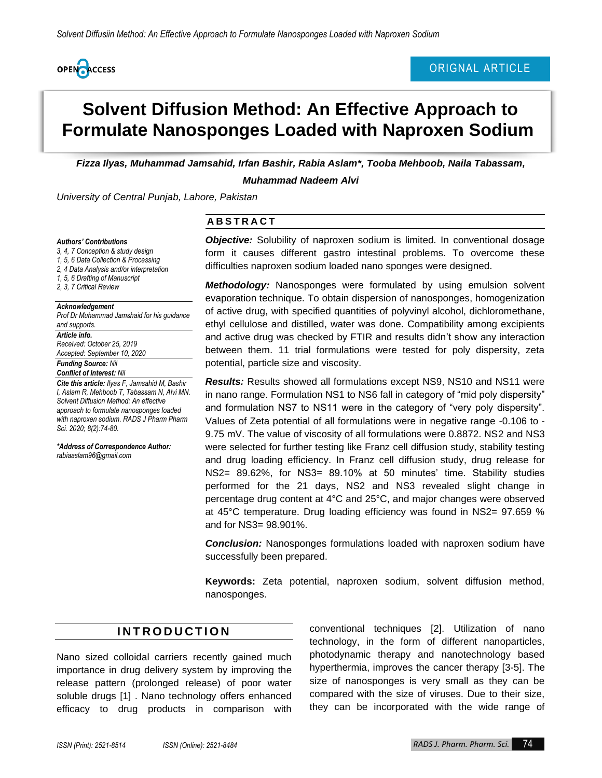

## ORIGNAL ARTICLE

# **Solvent Diffusion Method: An Effective Approach to Formulate Nanosponges Loaded with Naproxen Sodium**

*Fizza Ilyas, Muhammad Jamsahid, Irfan Bashir, Rabia Aslam\*, Tooba Mehboob, Naila Tabassam, Muhammad Nadeem Alvi*

*University of Central Punjab, Lahore, Pakistan*

#### *Authors' Contributions*

*3, 4, 7 Conception & study design 1, 5, 6 Data Collection & Processing 2, 4 Data Analysis and/or interpretation* 

*1, 5, 6 Drafting of Manuscript* 

*2, 3, 7 Critical Review* 

#### *Acknowledgement*

*Prof Dr Muhammad Jamshaid for his guidance and supports.*

#### *Article info.*

*Received: October 25, 2019 Accepted: September 10, 2020*

#### *Funding Source: Nil Conflict of Interest: Nil*

*Cite this article: Ilyas F, Jamsahid M, Bashir I, Aslam R, Mehboob T, Tabassam N, Alvi MN. Solvent Diffusion Method: An effective approach to formulate nanosponges loaded with naproxen sodium. RADS J Pharm Pharm Sci. 2020; 8(2):74-80.*

*\*Address of Correspondence Author: rabiaaslam96@gmail.com*

#### **A B S T R A C T**

*Objective:* Solubility of naproxen sodium is limited. In conventional dosage form it causes different gastro intestinal problems. To overcome these difficulties naproxen sodium loaded nano sponges were designed.

*Methodology:* Nanosponges were formulated by using emulsion solvent evaporation technique. To obtain dispersion of nanosponges, homogenization of active drug, with specified quantities of polyvinyl alcohol, dichloromethane, ethyl cellulose and distilled, water was done. Compatibility among excipients and active drug was checked by FTIR and results didn't show any interaction between them. 11 trial formulations were tested for poly dispersity, zeta potential, particle size and viscosity.

*Results:* Results showed all formulations except NS9, NS10 and NS11 were in nano range. Formulation NS1 to NS6 fall in category of "mid poly dispersity" and formulation NS7 to NS11 were in the category of "very poly dispersity". Values of Zeta potential of all formulations were in negative range -0.106 to - 9.75 mV. The value of viscosity of all formulations were 0.8872. NS2 and NS3 were selected for further testing like Franz cell diffusion study, stability testing and drug loading efficiency. In Franz cell diffusion study, drug release for NS2= 89.62%, for NS3= 89.10% at 50 minutes' time. Stability studies performed for the 21 days, NS2 and NS3 revealed slight change in percentage drug content at 4°C and 25°C, and major changes were observed at 45°C temperature. Drug loading efficiency was found in NS2= 97.659 % and for NS3= 98.901%.

*Conclusion:* Nanosponges formulations loaded with naproxen sodium have successfully been prepared.

**Keywords:** Zeta potential, naproxen sodium, solvent diffusion method, nanosponges.

## **I N T R O D U C T I O N**

Nano sized colloidal carriers recently gained much importance in drug delivery system by improving the release pattern (prolonged release) of poor water soluble drugs [\[1\]](#page-6-0) . Nano technology offers enhanced efficacy to drug products in comparison with conventional techniques [2]. Utilization of nano technology, in the form of different nanoparticles, photodynamic therapy and nanotechnology based hyperthermia, improves the cancer therapy [3-5]. The size of nanosponges is very small as they can be compared with the size of viruses. Due to their size, they can be incorporated with the wide range of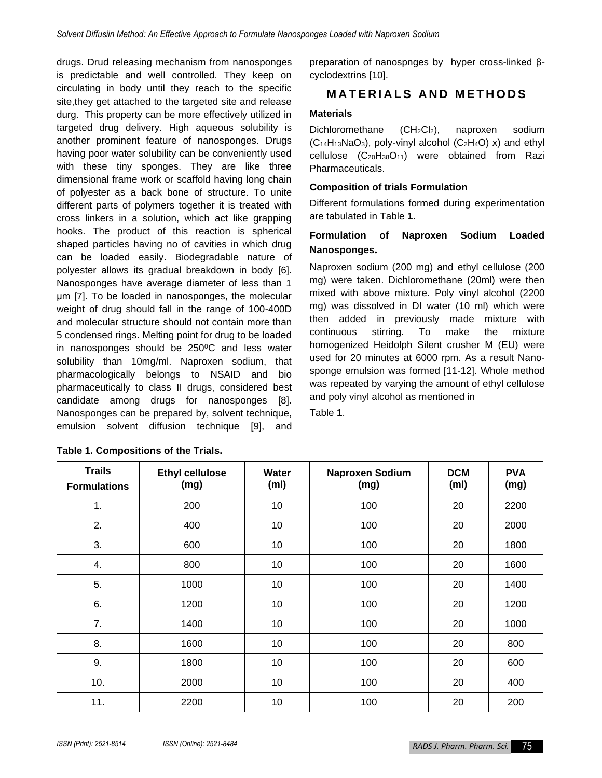drugs. Drud releasing mechanism from nanosponges is predictable and well controlled. They keep on circulating in body until they reach to the specific site,they get attached to the targeted site and release durg. This property can be more effectively utilized in targeted drug delivery. High aqueous solubility is another prominent feature of nanosponges. Drugs having poor water solubility can be conveniently used with these tiny sponges. They are like three dimensional frame work or scaffold having long chain of polyester as a back bone of structure. To unite different parts of polymers together it is treated with cross linkers in a solution, which act like grapping hooks. The product of this reaction is spherical shaped particles having no of cavities in which drug can be loaded easily. Biodegradable nature of polyester allows its gradual breakdown in body [6]. Nanosponges have average diameter of less than 1 μm [7]. To be loaded in nanosponges, the molecular weight of drug should fall in the range of 100-400D and molecular structure should not contain more than 5 condensed rings. Melting point for drug to be loaded in nanosponges should be  $250^{\circ}$ C and less water solubility than 10mg/ml. Naproxen sodium, that pharmacologically belongs to NSAID and bio pharmaceutically to class II drugs, considered best candidate among drugs for nanosponges [8]. Nanosponges can be prepared by, solvent technique, emulsion solvent diffusion technique [9], and

| preparation of nanospnges by hyper cross-linked $\beta$ - |  |
|-----------------------------------------------------------|--|
| cyclodextrins [10].                                       |  |

## **MATERIALS AND METHODS**

#### **Materials**

Dichloromethane (CH<sub>2</sub>Cl<sub>2</sub>), naproxen sodium  $(C_{14}H_{13}NaO_3)$ , poly-vinyl alcohol  $(C_2H_4O)$  x) and ethyl cellulose  $(C_{20}H_{38}O_{11})$  were obtained from Razi Pharmaceuticals.

#### **Composition of trials Formulation**

Different formulations formed during experimentation are tabulated in Table **1**.

## **Formulation of Naproxen Sodium Loaded Nanosponges.**

Naproxen sodium (200 mg) and ethyl cellulose (200 mg) were taken. Dichloromethane (20ml) were then mixed with above mixture. Poly vinyl alcohol (2200 mg) was dissolved in DI water (10 ml) which were then added in previously made mixture with continuous stirring. To make the mixture homogenized Heidolph Silent crusher M (EU) were used for 20 minutes at 6000 rpm. As a result Nanosponge emulsion was formed [11-12]. Whole method was repeated by varying the amount of ethyl cellulose and poly vinyl alcohol as mentioned in

Table **1**.

| <b>Trails</b><br><b>Formulations</b> | <b>Ethyl cellulose</b><br>(mg) | Water<br>(m <sub>l</sub> ) | Naproxen Sodium<br>(mg) | <b>DCM</b><br>(m <sub>l</sub> ) | <b>PVA</b><br>(mg) |
|--------------------------------------|--------------------------------|----------------------------|-------------------------|---------------------------------|--------------------|
| 1.                                   | 200                            | 10                         | 100                     | 20                              | 2200               |
| 2.                                   | 400                            | 10                         | 100                     | 20                              | 2000               |
| 3.                                   | 600                            | 10                         | 100                     | 20                              | 1800               |
| 4.                                   | 800                            | 10                         | 100                     | 20                              | 1600               |
| 5.                                   | 1000                           | 10                         | 100                     | 20                              | 1400               |
| 6.                                   | 1200                           | 10                         | 100                     | 20                              | 1200               |
| 7.                                   | 1400                           | 10                         | 100                     | 20                              | 1000               |
| 8.                                   | 1600                           | 10                         | 100                     | 20                              | 800                |
| 9.                                   | 1800                           | 10                         | 100                     | 20                              | 600                |
| 10.                                  | 2000                           | 10                         | 100                     | 20                              | 400                |
| 11.                                  | 2200                           | 10                         | 100                     | 20                              | 200                |

#### **Table 1. Compositions of the Trials.**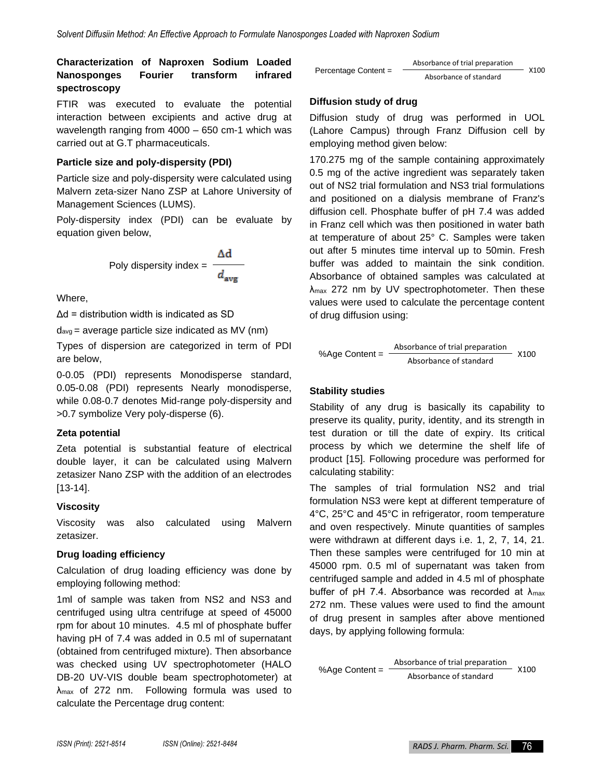## **Characterization of Naproxen Sodium Loaded Nanosponges Fourier transform infrared spectroscopy**

FTIR was executed to evaluate the potential interaction between excipients and active drug at wavelength ranging from 4000 – 650 cm-1 which was carried out at G.T pharmaceuticals.

## **Particle size and poly-dispersity (PDI)**

Particle size and poly-dispersity were calculated using Malvern zeta-sizer Nano ZSP at Lahore University of Management Sciences (LUMS).

Poly-dispersity index (PDI) can be evaluate by equation given below,

Poly dispersity index = 
$$
\frac{\Delta d}{d_{avg}}
$$

Where,

 $\Delta d$  = distribution width is indicated as SD

 $d_{avg}$  = average particle size indicated as MV (nm)

Types of dispersion are categorized in term of PDI are below,

0-0.05 (PDI) represents Monodisperse standard, 0.05-0.08 (PDI) represents Nearly monodisperse, while 0.08-0.7 denotes Mid-range poly-dispersity and >0.7 symbolize Very poly-disperse [\(6\)](#page-6-1).

## **Zeta potential**

Zeta potential is substantial feature of electrical double layer, it can be calculated using Malvern zetasizer Nano ZSP with the addition of an electrodes [13-14].

## **Viscosity**

Viscosity was also calculated using Malvern zetasizer.

## **Drug loading efficiency**

Calculation of drug loading efficiency was done by employing following method:

1ml of sample was taken from NS2 and NS3 and centrifuged using ultra centrifuge at speed of 45000 rpm for about 10 minutes. 4.5 ml of phosphate buffer having pH of 7.4 was added in 0.5 ml of supernatant (obtained from centrifuged mixture). Then absorbance was checked using UV spectrophotometer (HALO DB-20 UV-VIS double beam spectrophotometer) at λmax of 272 nm. Following formula was used to calculate the Percentage drug content:

| Percentage Content = | Absorbance of trial preparation |      |
|----------------------|---------------------------------|------|
|                      | Absorbance of standard          | X100 |

#### **Diffusion study of drug**

Diffusion study of drug was performed in UOL (Lahore Campus) through Franz Diffusion cell by employing method given below:

170.275 mg of the sample containing approximately 0.5 mg of the active ingredient was separately taken out of NS2 trial formulation and NS3 trial formulations and positioned on a dialysis membrane of Franz's diffusion cell. Phosphate buffer of pH 7.4 was added in Franz cell which was then positioned in water bath at temperature of about 25° C. Samples were taken out after 5 minutes time interval up to 50min. Fresh buffer was added to maintain the sink condition. Absorbance of obtained samples was calculated at λmax 272 nm by UV spectrophotometer. Then these values were used to calculate the percentage content of drug diffusion using:

$$
\% Age Content = \frac{Absorbance of trial preparation}{Absorbance of standard}
$$

#### **Stability studies**

Stability of any drug is basically its capability to preserve its quality, purity, identity, and its strength in test duration or till the date of expiry. Its critical process by which we determine the shelf life of product [15]. Following procedure was performed for calculating stability:

The samples of trial formulation NS2 and trial formulation NS3 were kept at different temperature of 4°C, 25°C and 45°C in refrigerator, room temperature and oven respectively. Minute quantities of samples were withdrawn at different days i.e. 1, 2, 7, 14, 21. Then these samples were centrifuged for 10 min at 45000 rpm. 0.5 ml of supernatant was taken from centrifuged sample and added in 4.5 ml of phosphate buffer of pH 7.4. Absorbance was recorded at  $\lambda_{\text{max}}$ 272 nm. These values were used to find the amount of drug present in samples after above mentioned days, by applying following formula:

$$
\% Age Content = \frac{Absorbance of trial preparation}{Absorbance of standard}
$$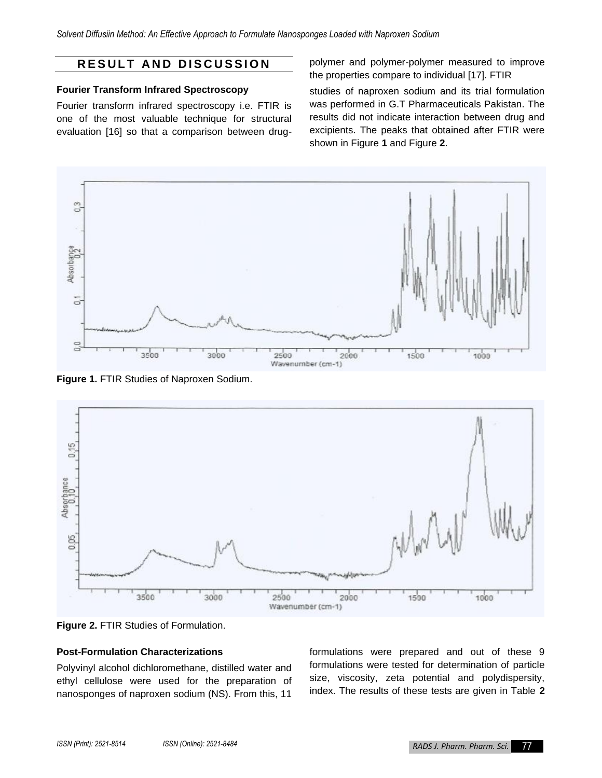## **R E S U L T A N D D I S C U S S I O N**

## **Fourier Transform Infrared Spectroscopy**

Fourier transform infrared spectroscopy i.e. FTIR is one of the most valuable technique for structural evaluation [16] so that a comparison between drugpolymer and polymer-polymer measured to improve the properties compare to individual [17]. FTIR

studies of naproxen sodium and its trial formulation was performed in G.T Pharmaceuticals Pakistan. The results did not indicate interaction between drug and excipients. The peaks that obtained after FTIR were shown in Figure **1** and Figure **2**.



**Figure 1.** FTIR Studies of Naproxen Sodium.



**Figure 2.** FTIR Studies of Formulation.

#### **Post-Formulation Characterizations**

Polyvinyl alcohol dichloromethane, distilled water and ethyl cellulose were used for the preparation of nanosponges of naproxen sodium (NS). From this, 11

formulations were prepared and out of these 9 formulations were tested for determination of particle size, viscosity, zeta potential and polydispersity, index. The results of these tests are given in Table **2**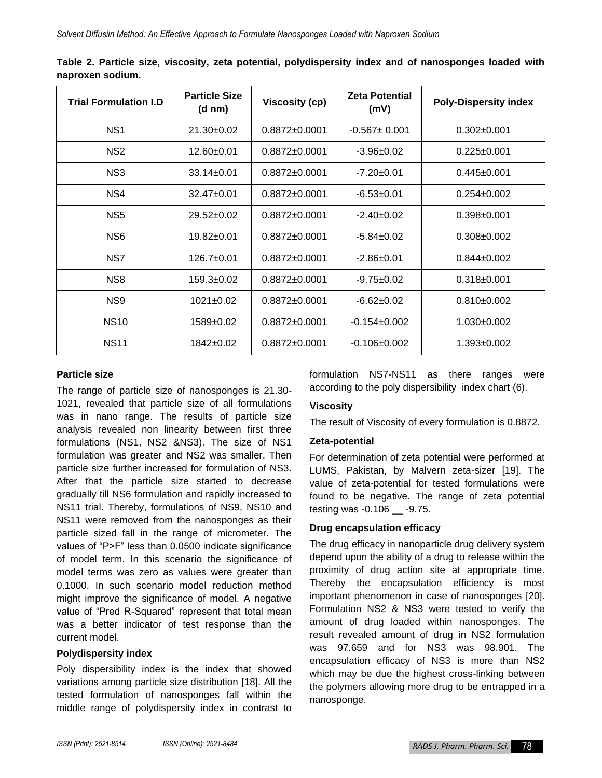| <b>Trial Formulation I.D</b> | <b>Particle Size</b><br>(d nm) | <b>Viscosity (cp)</b> | <b>Zeta Potential</b><br>(mV) | <b>Poly-Dispersity index</b> |  |
|------------------------------|--------------------------------|-----------------------|-------------------------------|------------------------------|--|
| NS <sub>1</sub>              | $21.30+0.02$                   | $0.8872 \pm 0.0001$   | $-0.567 \pm 0.001$            | $0.302 \pm 0.001$            |  |
| NS <sub>2</sub>              | $12.60+0.01$                   | $0.8872 \pm 0.0001$   | $-3.96+0.02$                  | $0.225 \pm 0.001$            |  |
| NS <sub>3</sub>              | $33.14 \pm 0.01$               | $0.8872 \pm 0.0001$   | $-7.20 \pm 0.01$              | $0.445 \pm 0.001$            |  |
| NS4                          | $32.47 \pm 0.01$               | $0.8872 \pm 0.0001$   | $-6.53 \pm 0.01$              | $0.254 \pm 0.002$            |  |
| NS <sub>5</sub>              | $29.52 \pm 0.02$               | $0.8872 \pm 0.0001$   | $-2.40+0.02$                  | $0.398 + 0.001$              |  |
| NS <sub>6</sub>              | $19.82 \pm 0.01$               | $0.8872 \pm 0.0001$   | $-5.84 \pm 0.02$              | $0.308 \pm 0.002$            |  |
| NS7                          | $126.7 \pm 0.01$               | $0.8872 \pm 0.0001$   | $-2.86 \pm 0.01$              | $0.844 \pm 0.002$            |  |
| NS <sub>8</sub>              | $159.3 \pm 0.02$               | $0.8872 \pm 0.0001$   | $-9.75 \pm 0.02$              | $0.318 \pm 0.001$            |  |
| NS <sub>9</sub>              | $1021 \pm 0.02$                | $0.8872 \pm 0.0001$   | $-6.62 \pm 0.02$              | $0.810\pm0.002$              |  |
| <b>NS10</b>                  | $1589+0.02$                    | $0.8872 \pm 0.0001$   | $-0.154\pm0.002$              | $1.030+0.002$                |  |
| <b>NS11</b>                  | $1842+0.02$                    | $0.8872 \pm 0.0001$   | $-0.106 \pm 0.002$            | $1.393 \pm 0.002$            |  |

**Table 2. Particle size, viscosity, zeta potential, polydispersity index and of nanosponges loaded with naproxen sodium.**

#### **Particle size**

The range of particle size of nanosponges is 21.30- 1021, revealed that particle size of all formulations was in nano range. The results of particle size analysis revealed non linearity between first three formulations (NS1, NS2 &NS3). The size of NS1 formulation was greater and NS2 was smaller. Then particle size further increased for formulation of NS3. After that the particle size started to decrease gradually till NS6 formulation and rapidly increased to NS11 trial. Thereby, formulations of NS9, NS10 and NS11 were removed from the nanosponges as their particle sized fall in the range of micrometer. The values of "P>F" less than 0.0500 indicate significance of model term. In this scenario the significance of model terms was zero as values were greater than 0.1000. In such scenario model reduction method might improve the significance of model. A negative value of "Pred R-Squared" represent that total mean was a better indicator of test response than the current model.

#### **Polydispersity index**

Poly dispersibility index is the index that showed variations among particle size distribution [18]. All the tested formulation of nanosponges fall within the middle range of polydispersity index in contrast to

formulation NS7-NS11 as there ranges were according to the poly dispersibility index chart [\(6\)](#page-6-1).

#### **Viscosity**

The result of Viscosity of every formulation is 0.8872.

#### **Zeta-potential**

For determination of zeta potential were performed at LUMS, Pakistan, by Malvern zeta-sizer [19]. The value of zeta-potential for tested formulations were found to be negative. The range of zeta potential testing was -0.106 \_\_ -9.75.

#### **Drug encapsulation efficacy**

The drug efficacy in nanoparticle drug delivery system depend upon the ability of a drug to release within the proximity of drug action site at appropriate time. Thereby the encapsulation efficiency is most important phenomenon in case of nanosponges [20]. Formulation NS2 & NS3 were tested to verify the amount of drug loaded within nanosponges. The result revealed amount of drug in NS2 formulation was 97.659 and for NS3 was 98.901. The encapsulation efficacy of NS3 is more than NS2 which may be due the highest cross-linking between the polymers allowing more drug to be entrapped in a nanosponge.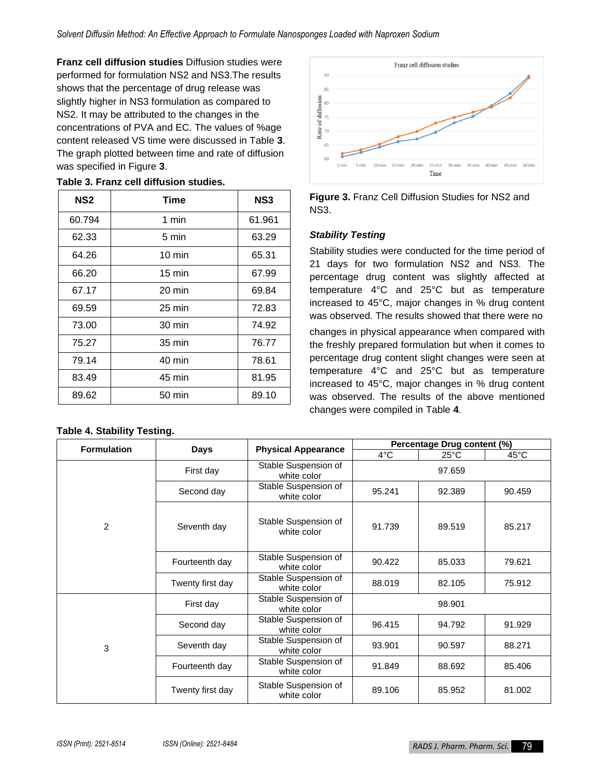**Franz cell diffusion studies** Diffusion studies were performed for formulation NS2 and NS3.The results shows that the percentage of drug release was slightly higher in NS3 formulation as compared to NS2. It may be attributed to the changes in the concentrations of PVA and EC. The values of %age content released VS time were discussed in Table **3**. The graph plotted between time and rate of diffusion was specified in Figure **3**.

| NS <sub>2</sub> | Time             | NS3    |
|-----------------|------------------|--------|
| 60.794          | 1 min            | 61.961 |
| 62.33           | 5 min            | 63.29  |
| 64.26           | $10 \text{ min}$ | 65.31  |
| 66.20           | $15 \text{ min}$ | 67.99  |
| 67.17           | $20 \text{ min}$ | 69.84  |
| 69.59           | $25 \text{ min}$ | 72.83  |
| 73.00           | 30 min           | 74.92  |
| 75.27           | 35 min           | 76.77  |
| 79.14           | 40 min           | 78.61  |
| 83.49           | 45 min           | 81.95  |
| 89.62           | $50 \text{ min}$ | 89.10  |

#### **Table 3. Franz cell diffusion studies.**

## **Table 4. Stability Testing.**





#### *Stability Testing*

Stability studies were conducted for the time period of 21 days for two formulation NS2 and NS3. The percentage drug content was slightly affected at temperature 4°C and 25°C but as temperature increased to 45°C, major changes in % drug content was observed. The results showed that there were no

changes in physical appearance when compared with the freshly prepared formulation but when it comes to percentage drug content slight changes were seen at temperature 4°C and 25°C but as temperature increased to 45°C, major changes in % drug content was observed. The results of the above mentioned changes were compiled in Table **4**.

| <b>Formulation</b> | <b>Days</b>      | <b>Physical Appearance</b>          | Percentage Drug content (%) |                |                |
|--------------------|------------------|-------------------------------------|-----------------------------|----------------|----------------|
|                    |                  |                                     | 4°C                         | $25^{\circ}$ C | $45^{\circ}$ C |
|                    | First day        | Stable Suspension of<br>white color | 97.659                      |                |                |
| 2                  | Second day       | Stable Suspension of<br>white color | 95.241                      | 92.389         | 90.459         |
|                    | Seventh day      | Stable Suspension of<br>white color | 91.739                      | 89.519         | 85.217         |
|                    | Fourteenth day   | Stable Suspension of<br>white color | 90.422                      | 85.033         | 79.621         |
|                    | Twenty first day | Stable Suspension of<br>white color | 88.019                      | 82.105         | 75.912         |
| 3                  | First day        | Stable Suspension of<br>white color |                             | 98.901         |                |
|                    | Second day       | Stable Suspension of<br>white color | 96.415                      | 94.792         | 91.929         |
|                    | Seventh day      | Stable Suspension of<br>white color | 93.901                      | 90.597         | 88.271         |
|                    | Fourteenth day   | Stable Suspension of<br>white color | 91.849                      | 88.692         | 85.406         |
|                    | Twenty first day | Stable Suspension of<br>white color | 89.106                      | 85.952         | 81.002         |